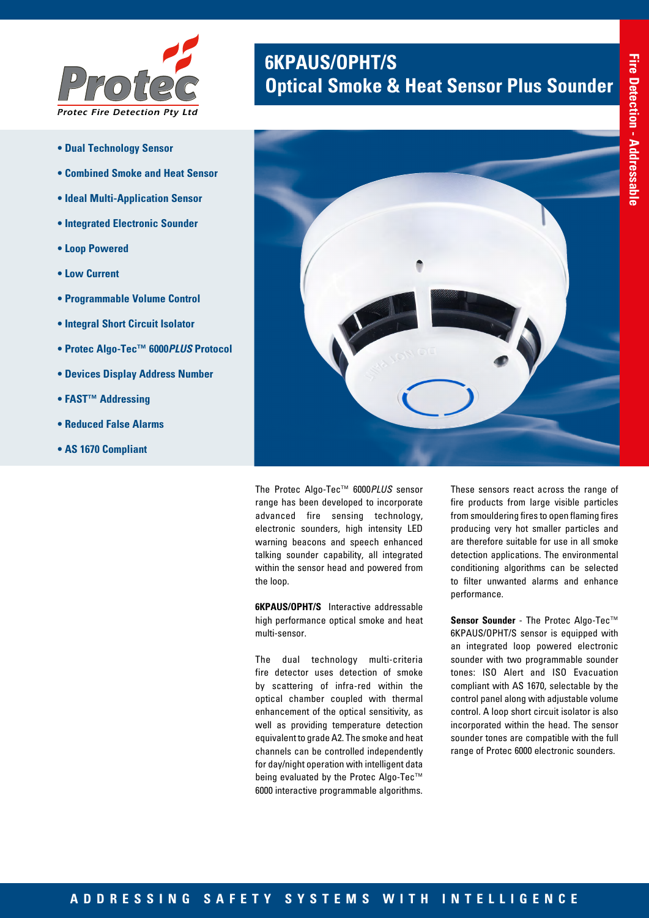

- **Dual Technology Sensor**
- **Combined Smoke and Heat Sensor**
- **Ideal Multi-Application Sensor**
- **Integrated Electronic Sounder**
- **Loop Powered**
- **Low Current**
- **Programmable Volume Control**
- **Integral Short Circuit Isolator**
- **Protec Algo-Tec™ 6000***PLUS* **Protocol**
- **Devices Display Address Number**
- **FAST™ Addressing**
- **Reduced False Alarms**
- **AS 1670 Compliant**

# **6KPAUS/OPHT/S**<br>**Optical Smoke & Heat Sensor Plus Sounder**



The Protec Algo-Tec™ 6000*PLUS* sensor range has been developed to incorporate advanced fire sensing technology, electronic sounders, high intensity LED warning beacons and speech enhanced talking sounder capability, all integrated within the sensor head and powered from the loop.

**6KPAUS/OPHT/S** Interactive addressable high performance optical smoke and heat multi-sensor.

The dual technology multi-criteria fire detector uses detection of smoke by scattering of infra-red within the optical chamber coupled with thermal enhancement of the optical sensitivity, as well as providing temperature detection equivalent to grade A2. The smoke and heat channels can be controlled independently for day/night operation with intelligent data being evaluated by the Protec Algo-Tec™ 6000 interactive programmable algorithms.

These sensors react across the range of fire products from large visible particles from smouldering fires to open flaming fires producing very hot smaller particles and are therefore suitable for use in all smoke detection applications. The environmental conditioning algorithms can be selected to filter unwanted alarms and enhance performance.

**Sensor Sounder** - The Protec Algo-Tec™ 6KPAUS/OPHT/S sensor is equipped with an integrated loop powered electronic sounder with two programmable sounder tones: ISO Alert and ISO Evacuation compliant with AS 1670, selectable by the control panel along with adjustable volume control. A loop short circuit isolator is also incorporated within the head. The sensor sounder tones are compatible with the full range of Protec 6000 electronic sounders.